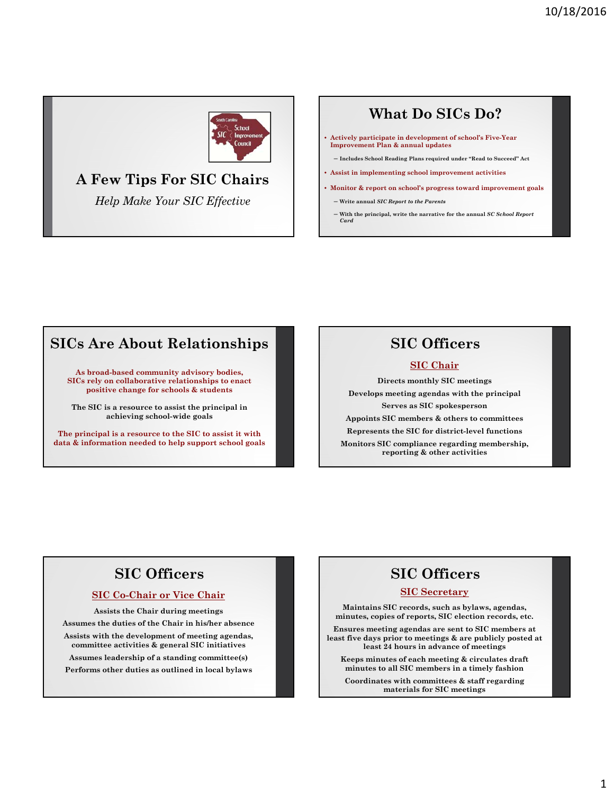

# **A Few Tips For SIC Chairs**

*Help Make Your SIC Effective*

## **What Do SICs Do?**

- **Actively participate in development of school's Five-Year Improvement Plan & annual updates**
	- ─ **Includes School Reading Plans required under "Read to Succeed" Act**
- **Assist in implementing school improvement activities**
- **Monitor & report on school's progress toward improvement goals**
	- ─ **Write annual** *SIC Report to the Parents*
	- ─ **With the principal, write the narrative for the annual** *SC School Report Card*

## **SICs Are About Relationships**

**As broad-based community advisory bodies, SICs rely on collaborative relationships to enact positive change for schools & students**

**The SIC is a resource to assist the principal in achieving school-wide goals**

**The principal is a resource to the SIC to assist it with data & information needed to help support school goals**

## **SIC Officers**

#### **SIC Chair**

**Directs monthly SIC meetings**

**Develops meeting agendas with the principal Serves as SIC spokesperson**

**Appoints SIC members & others to committees**

**Represents the SIC for district-level functions**

**Monitors SIC compliance regarding membership, reporting & other activities**

## **SIC Officers**

#### **SIC Co-Chair or Vice Chair**

**Assists the Chair during meetings Assumes the duties of the Chair in his/her absence Assists with the development of meeting agendas, committee activities & general SIC initiatives Assumes leadership of a standing committee(s) Performs other duties as outlined in local bylaws**

# **SIC Officers**

#### **SIC Secretary**

**Maintains SIC records, such as bylaws, agendas, minutes, copies of reports, SIC election records, etc.**

**Ensures meeting agendas are sent to SIC members at least five days prior to meetings & are publicly posted at least 24 hours in advance of meetings**

**Keeps minutes of each meeting & circulates draft minutes to all SIC members in a timely fashion**

**Coordinates with committees & staff regarding materials for SIC meetings**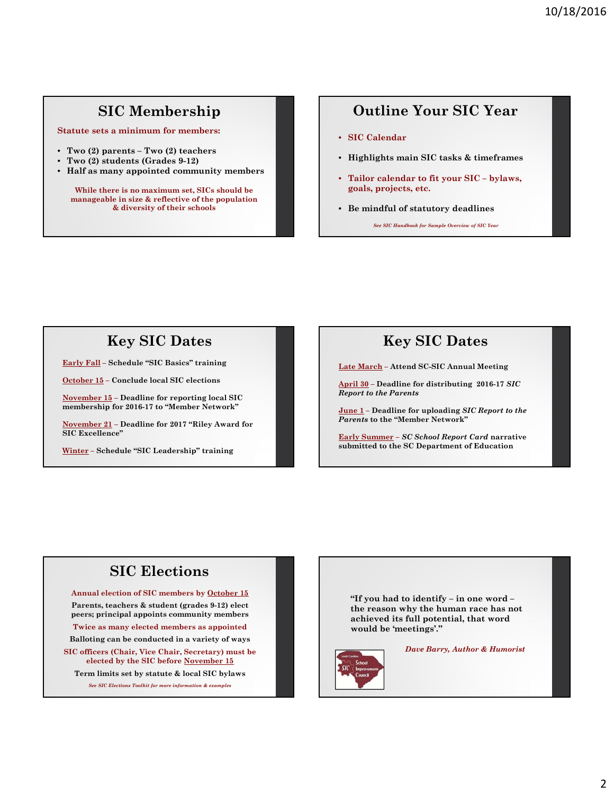## **SIC Membership**

**Statute sets a minimum for members:**

- **Two (2) parents Two (2) teachers**
- **Two (2) students (Grades 9-12)**
- **Half as many appointed community members**

**While there is no maximum set, SICs should be manageable in size & reflective of the population & diversity of their schools**

#### **Outline Your SIC Year**

- **SIC Calendar**
- **Highlights main SIC tasks & timeframes**
- **Tailor calendar to fit your SIC bylaws, goals, projects, etc.**
- **Be mindful of statutory deadlines**

*See SIC Handbook for Sample Overview of SIC Year*

### **Key SIC Dates**

**Early Fall – Schedule "SIC Basics" training**

**October 15 – Conclude local SIC elections**

**November 15 – Deadline for reporting local SIC membership for 2016-17 to "Member Network"**

**November 21 – Deadline for 2017 "Riley Award for SIC Excellence"**

**Winter – Schedule "SIC Leadership" training**

### **Key SIC Dates**

**Late March – Attend SC-SIC Annual Meeting**

**April 30 – Deadline for distributing 2016-17** *SIC Report to the Parents*

**June 1 – Deadline for uploading** *SIC Report to the Parents* **to the "Member Network"**

**Early Summer –** *SC School Report Card* **narrative submitted to the SC Department of Education**

### **SIC Elections**

**Annual election of SIC members by October 15 Parents, teachers & student (grades 9-12) elect peers; principal appoints community members Twice as many elected members as appointed**

**Balloting can be conducted in a variety of ways**

**SIC officers (Chair, Vice Chair, Secretary) must be elected by the SIC before November 15**

**Term limits set by statute & local SIC bylaws**

*See SIC Elections Toolkit for more information & examples*

**"If you had to identify – in one word – the reason why the human race has not achieved its full potential, that word would be 'meetings'."**



*Dave Barry, Author & Humorist*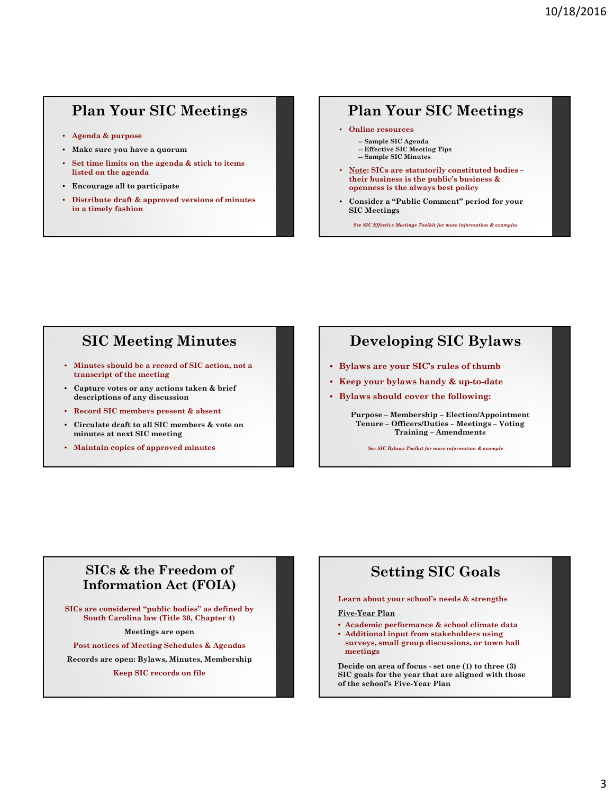## **Plan Your SIC Meetings**

- **Agenda & purpose**
- **Make sure you have a quorum**
- **Set time limits on the agenda & stick to items listed on the agenda**
- **Encourage all to participate**
- **Distribute draft & approved versions of minutes in a timely fashion**

### **Plan Your SIC Meetings**

- **Online resources**
	- **-- Sample SIC Agenda**
	- **-- Effective SIC Meeting Tips -- Sample SIC Minutes**
- **Note: SICs are statutorily constituted bodies – their business is the public's business & openness is the always best policy**
- **Consider a "Public Comment" period for your SIC Meetings**

*See SIC Effective Meetings Toolkit for more information & examples*

## **SIC Meeting Minutes**

- **Minutes should be a record of SIC action, not a transcript of the meeting**
- **Capture votes or any actions taken & brief descriptions of any discussion**
- **Record SIC members present & absent**
- **Circulate draft to all SIC members & vote on minutes at next SIC meeting**
- **Maintain copies of approved minutes**

## **Developing SIC Bylaws**

- **Bylaws are your SIC's rules of thumb**
- **Keep your bylaws handy & up-to-date**
- **Bylaws should cover the following:**

**Purpose – Membership – Election/Appointment Tenure – Officers/Duties – Meetings – Voting Training – Amendments**

*See SIC Bylaws Toolkit for more information & example*

#### **SICs & the Freedom of Information Act (FOIA)**

**SICs are considered "public bodies" as defined by South Carolina law (Title 30, Chapter 4)**

**Meetings are open**

**Post notices of Meeting Schedules & Agendas**

**Records are open: Bylaws, Minutes, Membership**

**Keep SIC records on file**

## **Setting SIC Goals**

#### **Learn about your school's needs & strengths**

**Five-Year Plan**

- **Academic performance & school climate data**
- **Additional input from stakeholders using surveys, small group discussions, or town hall meetings**

**Decide on area of focus - set one (1) to three (3) SIC goals for the year that are aligned with those of the school's Five-Year Plan**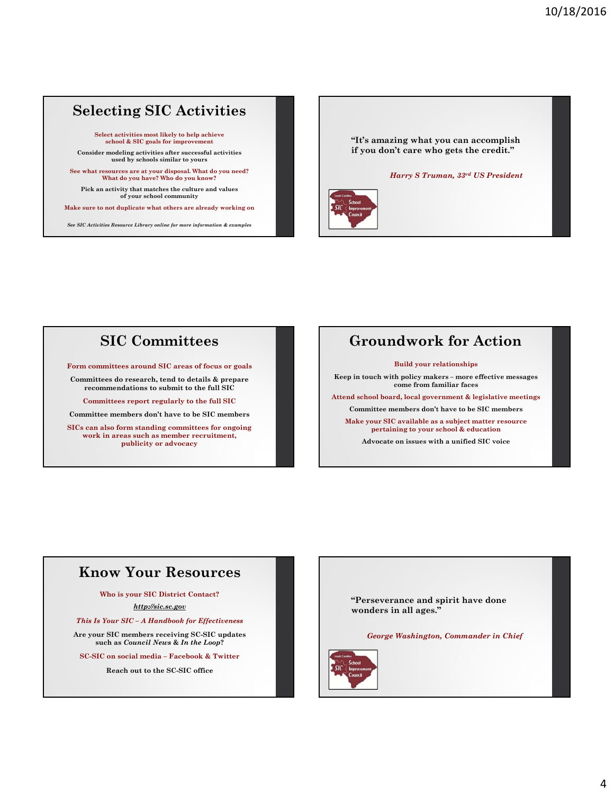## **Selecting SIC Activities**

**Select activities most likely to help achieve school & SIC goals for improvement**

**Consider modeling activities after successful activities used by schools similar to yours**

**See what resources are at your disposal. What do you need? What do you have? Who do you know?**

**Pick an activity that matches the culture and values of your school community**

**Make sure to not duplicate what others are already working on** *See SIC Activities Resource Library online for more information & examples*

**"It's amazing what you can accomplish if you don't care who gets the credit."**

#### *Harry S Truman, 33rd US President*



### **SIC Committees**

**Form committees around SIC areas of focus or goals**

**Committees do research, tend to details & prepare recommendations to submit to the full SIC**

**Committees report regularly to the full SIC**

**Committee members don't have to be SIC members**

**SICs can also form standing committees for ongoing work in areas such as member recruitment, publicity or advocacy**

## **Groundwork for Action**

#### **Build your relationships**

**Keep in touch with policy makers – more effective messages come from familiar faces**

**Attend school board, local government & legislative meetings**

**Committee members don't have to be SIC members Make your SIC available as a subject matter resource pertaining to your school & education**

**Advocate on issues with a unified SIC voice**

## **Know Your Resources**

**Who is your SIC District Contact?**

*http://sic.sc.gov*

*This Is Your SIC – A Handbook for Effectiveness*

**Are your SIC members receiving SC-SIC updates such as** *Council News* **&** *In the Loop***?**

**SC-SIC on social media – Facebook & Twitter**

**Reach out to the SC-SIC office**

**"Perseverance and spirit have done wonders in all ages."**

*George Washington, Commander in Chief*